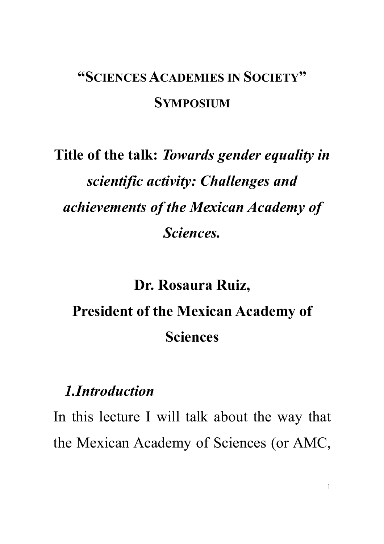## **"SCIENCES ACADEMIES IN SOCIETY" SYMPOSIUM**

## **Title of the talk:** *Towards gender equality in scientific activity: Challenges and achievements of the Mexican Academy of Sciences.*

## **Dr. Rosaura Ruiz, President of the Mexican Academy of Sciences**

## *1.Introduction*

In this lecture I will talk about the way that the Mexican Academy of Sciences (or AMC,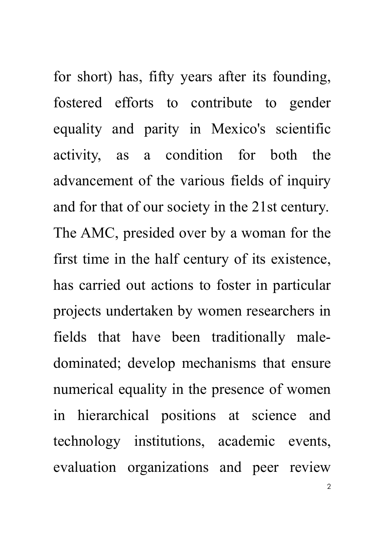for short) has, fifty years after its founding, fostered efforts to contribute to gender equality and parity in Mexico's scientific activity, as a condition for both the advancement of the various fields of inquiry and for that of our society in the 21st century. The AMC, presided over by a woman for the first time in the half century of its existence, has carried out actions to foster in particular projects undertaken by women researchers in fields that have been traditionally maledominated; develop mechanisms that ensure numerical equality in the presence of women in hierarchical positions at science and technology institutions, academic events, evaluation organizations and peer review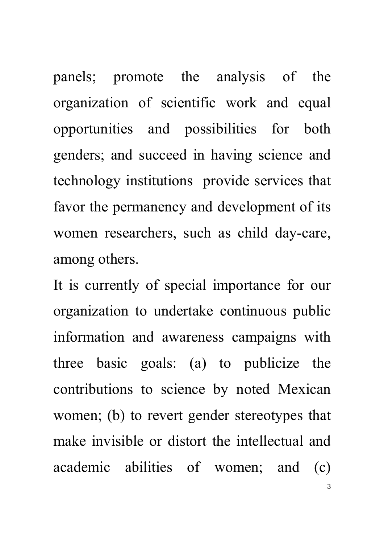panels; promote the analysis of the organization of scientific work and equal opportunities and possibilities for both genders; and succeed in having science and technology institutions provide services that favor the permanency and development of its women researchers, such as child day-care, among others.

It is currently of special importance for our organization to undertake continuous public information and awareness campaigns with three basic goals: (a) to publicize the contributions to science by noted Mexican women; (b) to revert gender stereotypes that make invisible or distort the intellectual and academic abilities of women; and (c)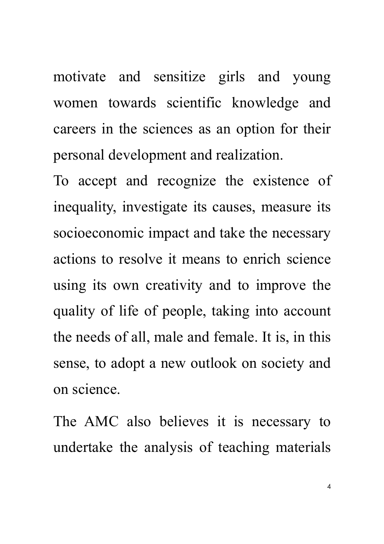motivate and sensitize girls and young women towards scientific knowledge and careers in the sciences as an option for their personal development and realization.

To accept and recognize the existence of inequality, investigate its causes, measure its socioeconomic impact and take the necessary actions to resolve it means to enrich science using its own creativity and to improve the quality of life of people, taking into account the needs of all, male and female. It is, in this sense, to adopt a new outlook on society and on science.

The AMC also believes it is necessary to undertake the analysis of teaching materials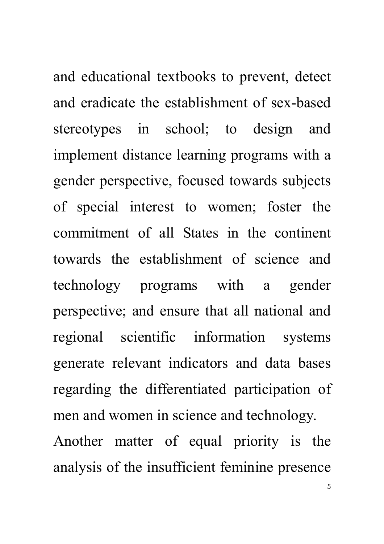and educational textbooks to prevent, detect and eradicate the establishment of sex-based stereotypes in school; to design and implement distance learning programs with a gender perspective, focused towards subjects of special interest to women; foster the commitment of all States in the continent towards the establishment of science and technology programs with a gender perspective; and ensure that all national and regional scientific information systems generate relevant indicators and data bases regarding the differentiated participation of men and women in science and technology.

Another matter of equal priority is the analysis of the insufficient feminine presence

5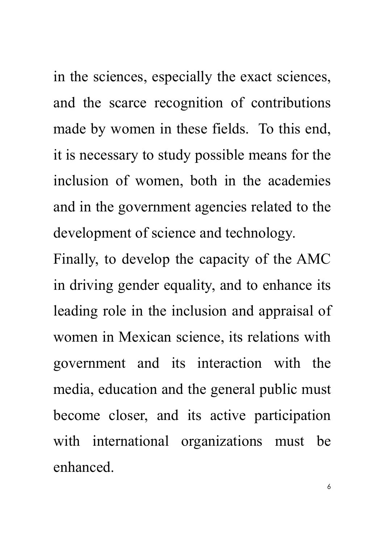in the sciences, especially the exact sciences, and the scarce recognition of contributions made by women in these fields. To this end, it is necessary to study possible means for the inclusion of women, both in the academies and in the government agencies related to the development of science and technology.

Finally, to develop the capacity of the AMC in driving gender equality, and to enhance its leading role in the inclusion and appraisal of women in Mexican science, its relations with government and its interaction with the media, education and the general public must become closer, and its active participation with international organizations must be enhanced.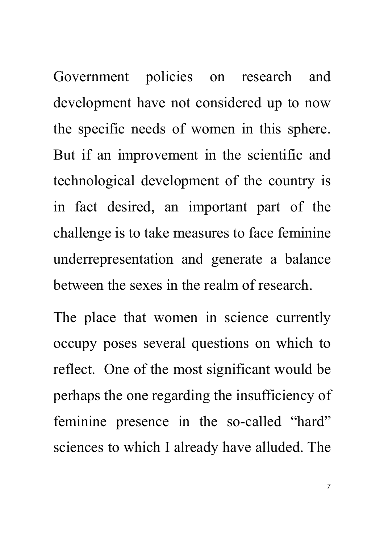Government policies on research and development have not considered up to now the specific needs of women in this sphere. But if an improvement in the scientific and technological development of the country is in fact desired, an important part of the challenge is to take measures to face feminine underrepresentation and generate a balance between the sexes in the realm of research.

The place that women in science currently occupy poses several questions on which to reflect. One of the most significant would be perhaps the one regarding the insufficiency of feminine presence in the so-called "hard" sciences to which I already have alluded. The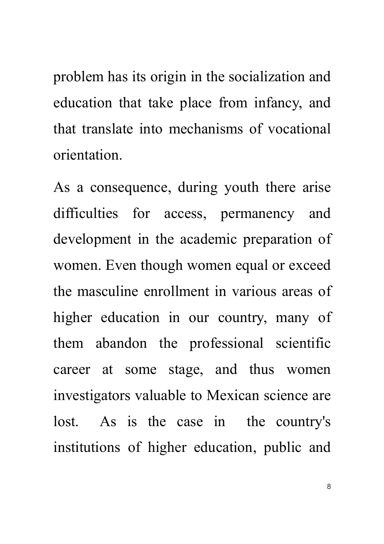problem has its origin in the socialization and education that take place from infancy, and that translate into mechanisms of vocational orientation.

As a consequence, during youth there arise difficulties for access, permanency and development in the academic preparation of women. Even though women equal or exceed the masculine enrollment in various areas of higher education in our country, many of them abandon the professional scientific career at some stage, and thus women investigators valuable to Mexican science are lost. As is the case in the country's institutions of higher education, public and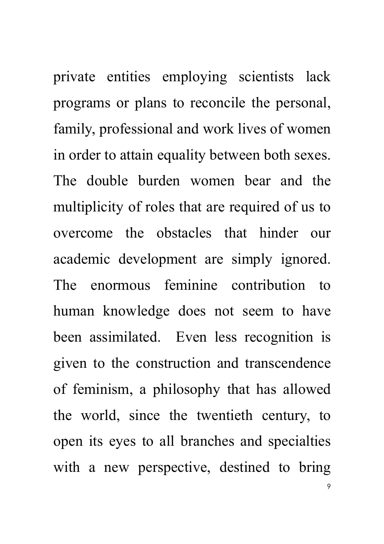private entities employing scientists lack programs or plans to reconcile the personal, family, professional and work lives of women in order to attain equality between both sexes. The double burden women bear and the multiplicity of roles that are required of us to overcome the obstacles that hinder our academic development are simply ignored. The enormous feminine contribution to human knowledge does not seem to have been assimilated. Even less recognition is given to the construction and transcendence of feminism, a philosophy that has allowed the world, since the twentieth century, to open its eyes to all branches and specialties with a new perspective, destined to bring

9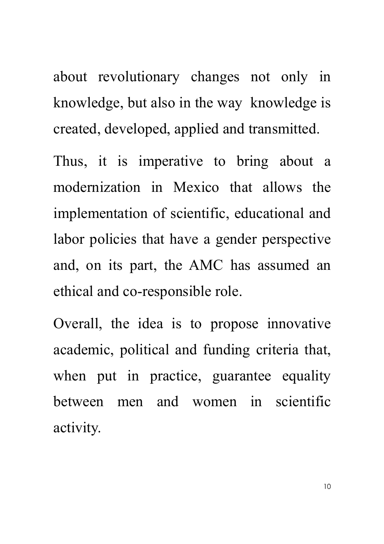about revolutionary changes not only in knowledge, but also in the way knowledge is created, developed, applied and transmitted.

Thus, it is imperative to bring about a modernization in Mexico that allows the implementation of scientific, educational and labor policies that have a gender perspective and, on its part, the AMC has assumed an ethical and co-responsible role.

Overall, the idea is to propose innovative academic, political and funding criteria that, when put in practice, guarantee equality between men and women in scientific activity.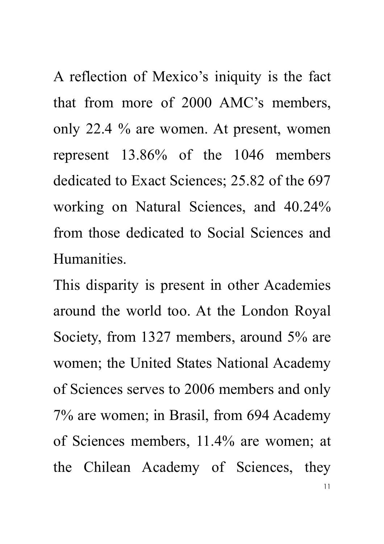A reflection of Mexico's iniquity is the fact that from more of 2000 AMC's members, only 22.4 % are women. At present, women represent 13.86% of the 1046 members dedicated to Exact Sciences; 25.82 of the 697 working on Natural Sciences, and 40.24% from those dedicated to Social Sciences and Humanities.

11 This disparity is present in other Academies around the world too. At the London Royal Society, from 1327 members, around 5% are women; the United States National Academy of Sciences serves to 2006 members and only 7% are women; in Brasil, from 694 Academy of Sciences members, 11.4% are women; at the Chilean Academy of Sciences, they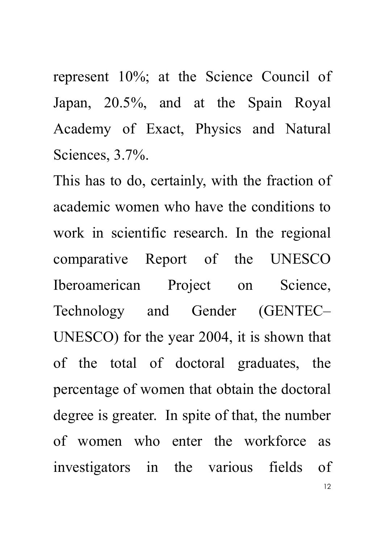represent 10%; at the Science Council of Japan, 20.5%, and at the Spain Royal Academy of Exact, Physics and Natural Sciences, 3.7%.

This has to do, certainly, with the fraction of academic women who have the conditions to work in scientific research. In the regional comparative Report of the UNESCO Iberoamerican Project on Science, Technology and Gender (GENTEC– UNESCO) for the year 2004, it is shown that of the total of doctoral graduates, the percentage of women that obtain the doctoral degree is greater. In spite of that, the number of women who enter the workforce as investigators in the various fields of

12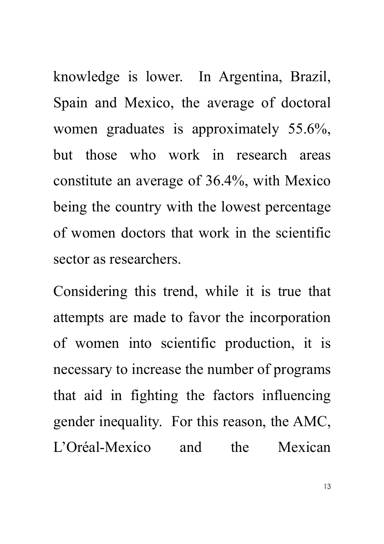knowledge is lower. In Argentina, Brazil, Spain and Mexico, the average of doctoral women graduates is approximately 55.6%, but those who work in research areas constitute an average of 36.4%, with Mexico being the country with the lowest percentage of women doctors that work in the scientific sector as researchers.

Considering this trend, while it is true that attempts are made to favor the incorporation of women into scientific production, it is necessary to increase the number of programs that aid in fighting the factors influencing gender inequality. For this reason, the AMC, L'Oréal-Mexico and the Mexican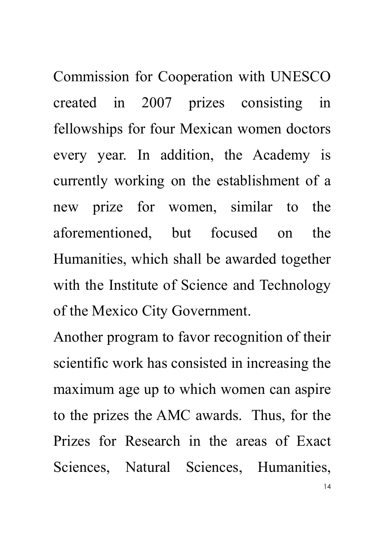Commission for Cooperation with UNESCO created in 2007 prizes consisting in fellowships for four Mexican women doctors every year. In addition, the Academy is currently working on the establishment of a new prize for women, similar to the aforementioned, but focused on the Humanities, which shall be awarded together with the Institute of Science and Technology of the Mexico City Government.

Another program to favor recognition of their scientific work has consisted in increasing the maximum age up to which women can aspire to the prizes the AMC awards. Thus, for the Prizes for Research in the areas of Exact Sciences, Natural Sciences, Humanities,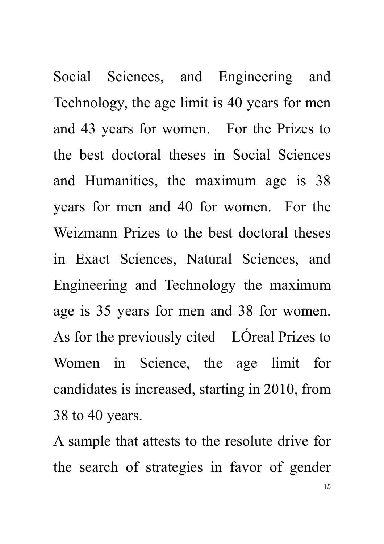Social Sciences, and Engineering and Technology, the age limit is 40 years for men and 43 years for women. For the Prizes to the best doctoral theses in Social Sciences and Humanities, the maximum age is 38 years for men and 40 for women. For the Weizmann Prizes to the best doctoral theses in Exact Sciences, Natural Sciences, and Engineering and Technology the maximum age is 35 years for men and 38 for women. As for the previously cited LÓreal Prizes to Women in Science, the age limit for candidates is increased, starting in 2010, from 38 to 40 years.

15 A sample that attests to the resolute drive for the search of strategies in favor of gender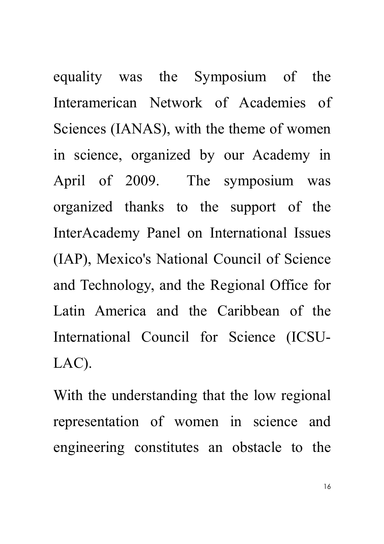equality was the Symposium of the Interamerican Network of Academies of Sciences (IANAS), with the theme of women in science, organized by our Academy in April of 2009. The symposium was organized thanks to the support of the InterAcademy Panel on International Issues (IAP), Mexico's National Council of Science and Technology, and the Regional Office for Latin America and the Caribbean of the International Council for Science (ICSU-LAC).

With the understanding that the low regional representation of women in science and engineering constitutes an obstacle to the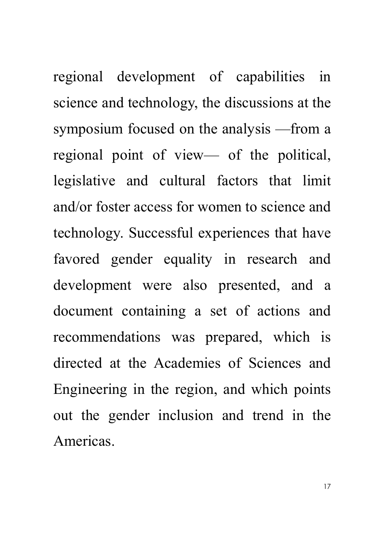regional development of capabilities in science and technology, the discussions at the symposium focused on the analysis —from a regional point of view— of the political, legislative and cultural factors that limit and/or foster access for women to science and technology. Successful experiences that have favored gender equality in research and development were also presented, and a document containing a set of actions and recommendations was prepared, which is directed at the Academies of Sciences and Engineering in the region, and which points out the gender inclusion and trend in the Americas.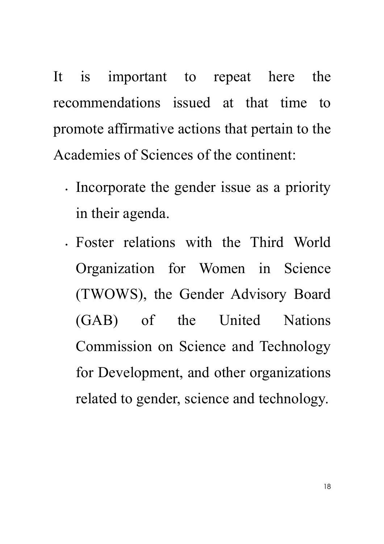It is important to repeat here the recommendations issued at that time to promote affirmative actions that pertain to the Academies of Sciences of the continent:

- Incorporate the gender issue as a priority in their agenda.
- Foster relations with the Third World Organization for Women in Science (TWOWS), the Gender Advisory Board (GAB) of the United Nations Commission on Science and Technology for Development, and other organizations related to gender, science and technology.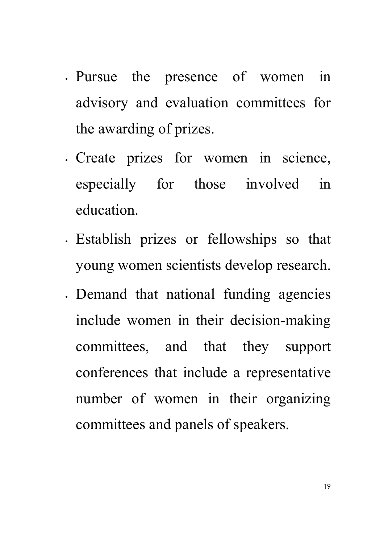- Pursue the presence of women in advisory and evaluation committees for the awarding of prizes.
- Create prizes for women in science, especially for those involved in education.
- Establish prizes or fellowships so that young women scientists develop research.
- Demand that national funding agencies include women in their decision-making committees, and that they support conferences that include a representative number of women in their organizing committees and panels of speakers.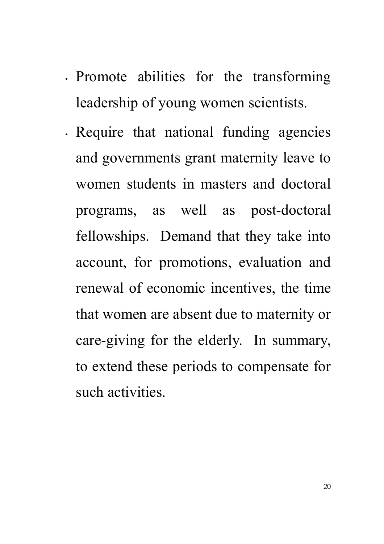- Promote abilities for the transforming leadership of young women scientists.
- Require that national funding agencies and governments grant maternity leave to women students in masters and doctoral programs, as well as post-doctoral fellowships. Demand that they take into account, for promotions, evaluation and renewal of economic incentives, the time that women are absent due to maternity or care-giving for the elderly. In summary, to extend these periods to compensate for such activities.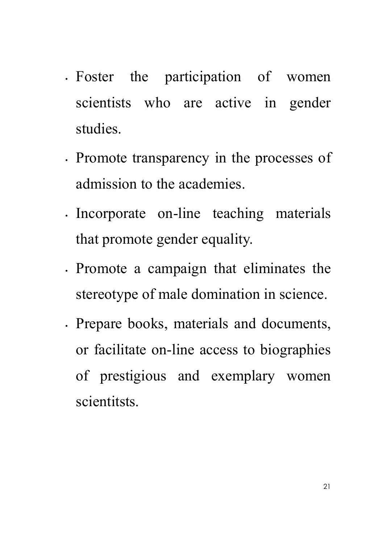- Foster the participation of women scientists who are active in gender studies.
- Promote transparency in the processes of admission to the academies.
- Incorporate on-line teaching materials that promote gender equality.
- Promote a campaign that eliminates the stereotype of male domination in science.
- Prepare books, materials and documents, or facilitate on-line access to biographies of prestigious and exemplary women scientitsts.